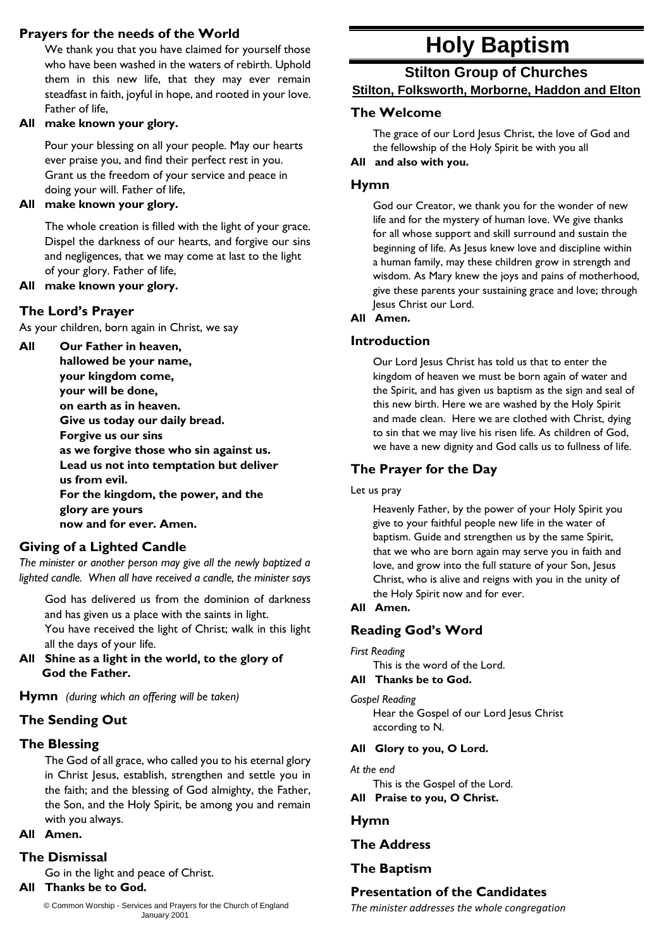# **Prayers for the needs of the World**

We thank you that you have claimed for yourself those who have been washed in the waters of rebirth. Uphold them in this new life, that they may ever remain steadfast in faith, joyful in hope, and rooted in your love. Father of life,

## **All make known your glory.**

Pour your blessing on all your people. May our hearts ever praise you, and find their perfect rest in you. Grant us the freedom of your service and peace in doing your will. Father of life,

## **All make known your glory.**

The whole creation is filled with the light of your grace. Dispel the darkness of our hearts, and forgive our sins and negligences, that we may come at last to the light of your glory. Father of life,

#### **All make known your glory.**

## **The Lord's Prayer**

As your children, born again in Christ, we say

# **All Our Father in heaven,**

**hallowed be your name, your kingdom come, your will be done, on earth as in heaven. Give us today our daily bread. Forgive us our sins as we forgive those who sin against us. Lead us not into temptation but deliver us from evil. For the kingdom, the power, and the glory are yours now and for ever. Amen.**

## **Giving of a Lighted Candle**

*The minister or another person may give all the newly baptized a lighted candle. When all have received a candle, the minister says*

God has delivered us from the dominion of darkness and has given us a place with the saints in light. You have received the light of Christ; walk in this light all the days of your life.

**All Shine as a light in the world, to the glory of God the Father.**

**Hymn** *(during which an offering will be taken)*

# **The Sending Out**

# **The Blessing**

The God of all grace, who called you to his eternal glory in Christ Jesus, establish, strengthen and settle you in the faith; and the blessing of God almighty, the Father, the Son, and the Holy Spirit, be among you and remain with you always.

# **All Amen.**

# **The Dismissal**

Go in the light and peace of Christ.

# **All Thanks be to God.**

© Common Worship - Services and Prayers for the Church of England January 2001

# **Holy Baptism**

# **Stilton Group of Churches Stilton, Folksworth, Morborne, Haddon and Elton**

## **The Welcome**

The grace of our Lord Jesus Christ, the love of God and the fellowship of the Holy Spirit be with you all

**All and also with you.**

## **Hymn**

God our Creator, we thank you for the wonder of new life and for the mystery of human love. We give thanks for all whose support and skill surround and sustain the beginning of life. As Jesus knew love and discipline within a human family, may these children grow in strength and wisdom. As Mary knew the joys and pains of motherhood, give these parents your sustaining grace and love; through Jesus Christ our Lord.

#### **All Amen.**

## **Introduction**

Our Lord Jesus Christ has told us that to enter the kingdom of heaven we must be born again of water and the Spirit, and has given us baptism as the sign and seal of this new birth. Here we are washed by the Holy Spirit and made clean. Here we are clothed with Christ, dying to sin that we may live his risen life. As children of God, we have a new dignity and God calls us to fullness of life.

# **The Prayer for the Day**

#### Let us pray

Heavenly Father, by the power of your Holy Spirit you give to your faithful people new life in the water of baptism. Guide and strengthen us by the same Spirit, that we who are born again may serve you in faith and love, and grow into the full stature of your Son, Jesus Christ, who is alive and reigns with you in the unity of the Holy Spirit now and for ever.

## **All Amen.**

# **Reading God's Word**

## *First Reading*

This is the word of the Lord.

## **All Thanks be to God.**

#### *Gospel Reading*

Hear the Gospel of our Lord Jesus Christ according to N.

## **All Glory to you, O Lord.**

#### *At the end*

This is the Gospel of the Lord.

**All Praise to you, O Christ.**

# **Hymn**

# **The Address**

# **The Baptism**

# **Presentation of the Candidates**

*The minister addresses the whole congregation*